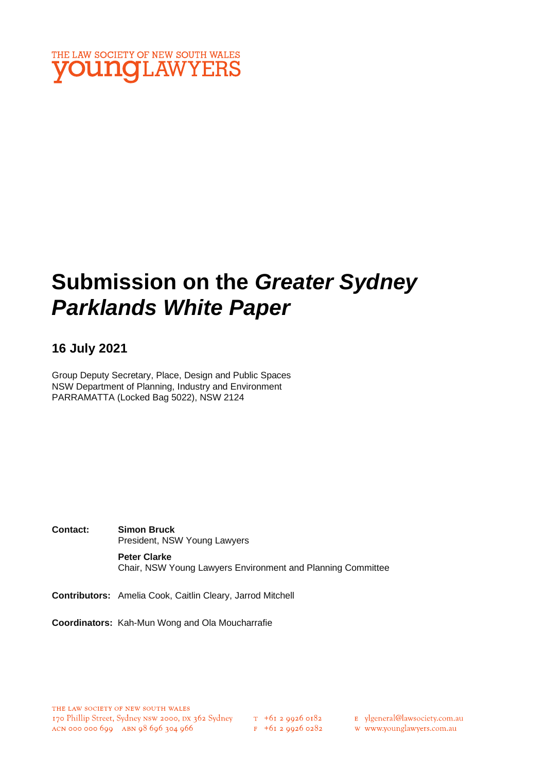

# **Submission on the** *Greater Sydney Parklands White Paper*

## **16 July 2021**

Group Deputy Secretary, Place, Design and Public Spaces NSW Department of Planning, Industry and Environment PARRAMATTA (Locked Bag 5022), NSW 2124

**Contact: Simon Bruck** President, NSW Young Lawyers **Peter Clarke** Chair, NSW Young Lawyers Environment and Planning Committee

**Contributors:** Amelia Cook, Caitlin Cleary, Jarrod Mitchell

**Coordinators:** Kah-Mun Wong and Ola Moucharrafie

 $F + 6I$  2 9926 0282

E ylgeneral@lawsociety.com.au

w www.younglawyers.com.au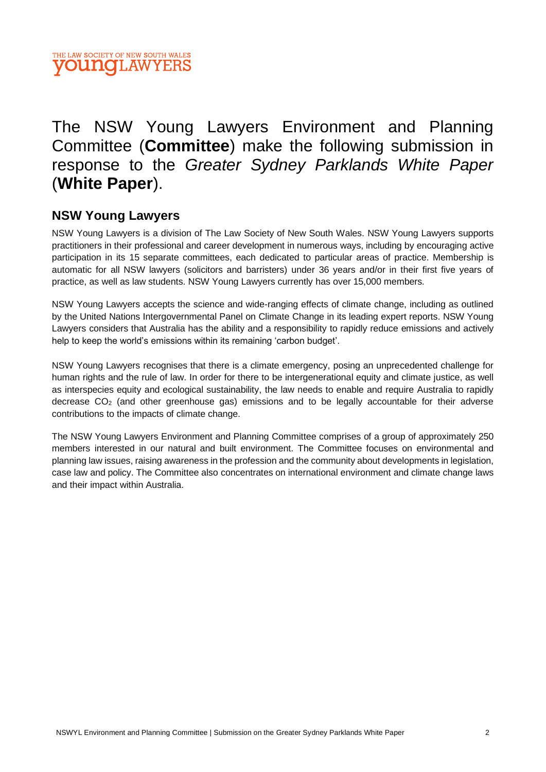

## The NSW Young Lawyers Environment and Planning Committee (**Committee**) make the following submission in response to the *Greater Sydney Parklands White Paper* (**White Paper**).

## **NSW Young Lawyers**

NSW Young Lawyers is a division of The Law Society of New South Wales. NSW Young Lawyers supports practitioners in their professional and career development in numerous ways, including by encouraging active participation in its 15 separate committees, each dedicated to particular areas of practice. Membership is automatic for all NSW lawyers (solicitors and barristers) under 36 years and/or in their first five years of practice, as well as law students. NSW Young Lawyers currently has over 15,000 members.

NSW Young Lawyers accepts the science and wide-ranging effects of climate change, including as outlined by the United Nations Intergovernmental Panel on Climate Change in its leading expert reports. NSW Young Lawyers considers that Australia has the ability and a responsibility to rapidly reduce emissions and actively help to keep the world's emissions within its remaining 'carbon budget'.

NSW Young Lawyers recognises that there is a climate emergency, posing an unprecedented challenge for human rights and the rule of law. In order for there to be intergenerational equity and climate justice, as well as interspecies equity and ecological sustainability, the law needs to enable and require Australia to rapidly decrease  $CO<sub>2</sub>$  (and other greenhouse gas) emissions and to be legally accountable for their adverse contributions to the impacts of climate change.

The NSW Young Lawyers Environment and Planning Committee comprises of a group of approximately 250 members interested in our natural and built environment. The Committee focuses on environmental and planning law issues, raising awareness in the profession and the community about developments in legislation, case law and policy. The Committee also concentrates on international environment and climate change laws and their impact within Australia.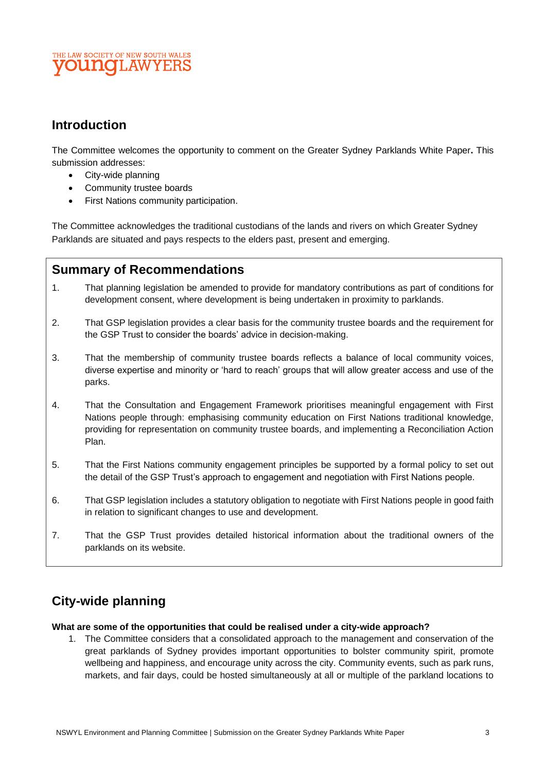#### THE LAW SOCIETY OF NEW SOUTH WALES **OUNOLAWYE**

## **Introduction**

The Committee welcomes the opportunity to comment on the Greater Sydney Parklands White Paper**.** This submission addresses:

- City-wide planning
- Community trustee boards
- First Nations community participation.

The Committee acknowledges the traditional custodians of the lands and rivers on which Greater Sydney Parklands are situated and pays respects to the elders past, present and emerging.

#### **Summary of Recommendations**

- 1. That planning legislation be amended to provide for mandatory contributions as part of conditions for development consent, where development is being undertaken in proximity to parklands.
- 2. That GSP legislation provides a clear basis for the community trustee boards and the requirement for the GSP Trust to consider the boards' advice in decision-making.
- 3. That the membership of community trustee boards reflects a balance of local community voices, diverse expertise and minority or 'hard to reach' groups that will allow greater access and use of the parks.
- 4. That the Consultation and Engagement Framework prioritises meaningful engagement with First Nations people through: emphasising community education on First Nations traditional knowledge, providing for representation on community trustee boards, and implementing a Reconciliation Action Plan.
- 5. That the First Nations community engagement principles be supported by a formal policy to set out the detail of the GSP Trust's approach to engagement and negotiation with First Nations people.
- 6. That GSP legislation includes a statutory obligation to negotiate with First Nations people in good faith in relation to significant changes to use and development.
- 7. That the GSP Trust provides detailed historical information about the traditional owners of the parklands on its website.

## **City-wide planning**

#### **What are some of the opportunities that could be realised under a city-wide approach?**

1. The Committee considers that a consolidated approach to the management and conservation of the great parklands of Sydney provides important opportunities to bolster community spirit, promote wellbeing and happiness, and encourage unity across the city. Community events, such as park runs, markets, and fair days, could be hosted simultaneously at all or multiple of the parkland locations to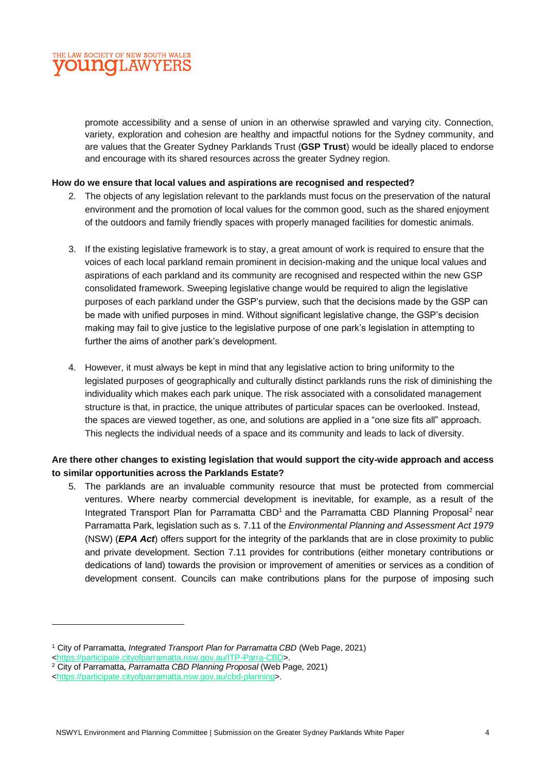

promote accessibility and a sense of union in an otherwise sprawled and varying city. Connection, variety, exploration and cohesion are healthy and impactful notions for the Sydney community, and are values that the Greater Sydney Parklands Trust (**GSP Trust**) would be ideally placed to endorse and encourage with its shared resources across the greater Sydney region.

#### **How do we ensure that local values and aspirations are recognised and respected?**

- 2. The objects of any legislation relevant to the parklands must focus on the preservation of the natural environment and the promotion of local values for the common good, such as the shared enjoyment of the outdoors and family friendly spaces with properly managed facilities for domestic animals.
- 3. If the existing legislative framework is to stay, a great amount of work is required to ensure that the voices of each local parkland remain prominent in decision-making and the unique local values and aspirations of each parkland and its community are recognised and respected within the new GSP consolidated framework. Sweeping legislative change would be required to align the legislative purposes of each parkland under the GSP's purview, such that the decisions made by the GSP can be made with unified purposes in mind. Without significant legislative change, the GSP's decision making may fail to give justice to the legislative purpose of one park's legislation in attempting to further the aims of another park's development.
- 4. However, it must always be kept in mind that any legislative action to bring uniformity to the legislated purposes of geographically and culturally distinct parklands runs the risk of diminishing the individuality which makes each park unique. The risk associated with a consolidated management structure is that, in practice, the unique attributes of particular spaces can be overlooked. Instead, the spaces are viewed together, as one, and solutions are applied in a "one size fits all" approach. This neglects the individual needs of a space and its community and leads to lack of diversity.

#### **Are there other changes to existing legislation that would support the city-wide approach and access to similar opportunities across the Parklands Estate?**

5. The parklands are an invaluable community resource that must be protected from commercial ventures. Where nearby commercial development is inevitable, for example, as a result of the Integrated Transport Plan for Parramatta CBD<sup>1</sup> and the Parramatta CBD Planning Proposal<sup>2</sup> near Parramatta Park, legislation such as s. 7.11 of the *Environmental Planning and Assessment Act 1979*  (NSW) (*EPA Act*) offers support for the integrity of the parklands that are in close proximity to public and private development. Section 7.11 provides for contributions (either monetary contributions or dedications of land) towards the provision or improvement of amenities or services as a condition of development consent. Councils can make contributions plans for the purpose of imposing such

<sup>1</sup> City of Parramatta, *Integrated Transport Plan for Parramatta CBD* (Web Page, 2021)

[<sup>&</sup>lt;https://participate.cityofparramatta.nsw.gov.au/ITP-Parra-CBD>](https://participate.cityofparramatta.nsw.gov.au/ITP-Parra-CBD).

<sup>2</sup> City of Parramatta, *Parramatta CBD Planning Proposal* (Web Page, 2021)

[<sup>&</sup>lt;https://participate.cityofparramatta.nsw.gov.au/cbd-planning>](https://participate.cityofparramatta.nsw.gov.au/cbd-planning).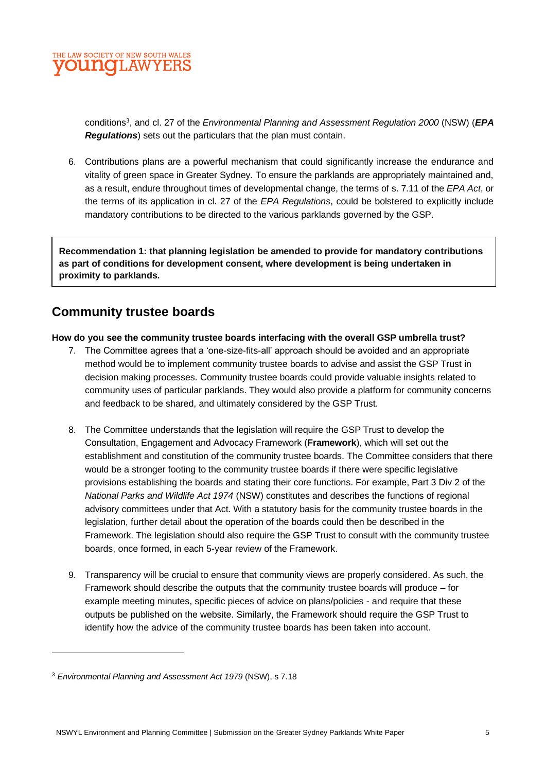

conditions<sup>3</sup>, and cl. 27 of the *Environmental Planning and Assessment Regulation 2000* (NSW) (*EPA Regulations*) sets out the particulars that the plan must contain.

6. Contributions plans are a powerful mechanism that could significantly increase the endurance and vitality of green space in Greater Sydney. To ensure the parklands are appropriately maintained and, as a result, endure throughout times of developmental change, the terms of s. 7.11 of the *EPA Act*, or the terms of its application in cl. 27 of the *EPA Regulations*, could be bolstered to explicitly include mandatory contributions to be directed to the various parklands governed by the GSP.

**Recommendation 1: that planning legislation be amended to provide for mandatory contributions as part of conditions for development consent, where development is being undertaken in proximity to parklands.**

## **Community trustee boards**

#### **How do you see the community trustee boards interfacing with the overall GSP umbrella trust?**

- 7. The Committee agrees that a 'one-size-fits-all' approach should be avoided and an appropriate method would be to implement community trustee boards to advise and assist the GSP Trust in decision making processes. Community trustee boards could provide valuable insights related to community uses of particular parklands. They would also provide a platform for community concerns and feedback to be shared, and ultimately considered by the GSP Trust.
- 8. The Committee understands that the legislation will require the GSP Trust to develop the Consultation, Engagement and Advocacy Framework (**Framework**), which will set out the establishment and constitution of the community trustee boards. The Committee considers that there would be a stronger footing to the community trustee boards if there were specific legislative provisions establishing the boards and stating their core functions. For example, Part 3 Div 2 of the *National Parks and Wildlife Act 1974* (NSW) constitutes and describes the functions of regional advisory committees under that Act. With a statutory basis for the community trustee boards in the legislation, further detail about the operation of the boards could then be described in the Framework. The legislation should also require the GSP Trust to consult with the community trustee boards, once formed, in each 5-year review of the Framework.
- 9. Transparency will be crucial to ensure that community views are properly considered. As such, the Framework should describe the outputs that the community trustee boards will produce – for example meeting minutes, specific pieces of advice on plans/policies - and require that these outputs be published on the website. Similarly, the Framework should require the GSP Trust to identify how the advice of the community trustee boards has been taken into account.

<sup>3</sup> *Environmental Planning and Assessment Act 1979* (NSW), s 7.18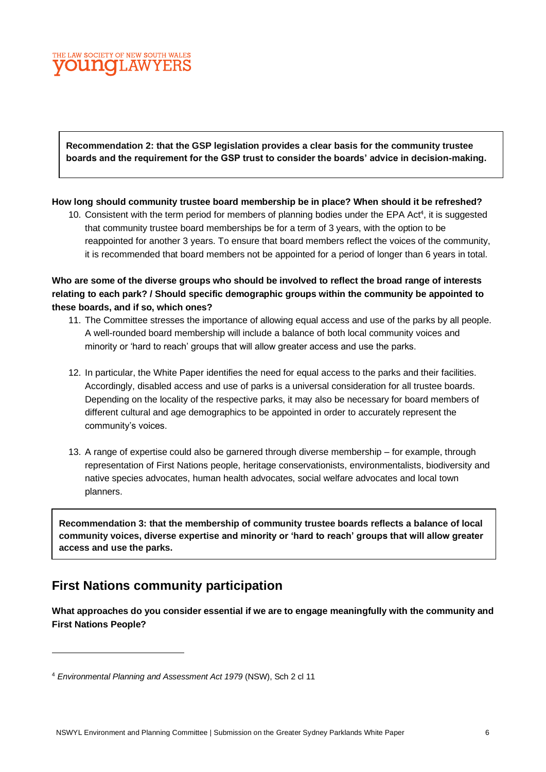#### THE LAW SOCIETY OF NEW SOUTH WALES **OUNCLAWYEF**

**Recommendation 2: that the GSP legislation provides a clear basis for the community trustee boards and the requirement for the GSP trust to consider the boards' advice in decision-making.**

#### **How long should community trustee board membership be in place? When should it be refreshed?**

10. Consistent with the term period for members of planning bodies under the EPA Act<sup>4</sup>, it is suggested that community trustee board memberships be for a term of 3 years, with the option to be reappointed for another 3 years. To ensure that board members reflect the voices of the community, it is recommended that board members not be appointed for a period of longer than 6 years in total.

**Who are some of the diverse groups who should be involved to reflect the broad range of interests relating to each park? / Should specific demographic groups within the community be appointed to these boards, and if so, which ones?**

- 11. The Committee stresses the importance of allowing equal access and use of the parks by all people. A well-rounded board membership will include a balance of both local community voices and minority or 'hard to reach' groups that will allow greater access and use the parks.
- 12. In particular, the White Paper identifies the need for equal access to the parks and their facilities. Accordingly, disabled access and use of parks is a universal consideration for all trustee boards. Depending on the locality of the respective parks, it may also be necessary for board members of different cultural and age demographics to be appointed in order to accurately represent the community's voices.
- 13. A range of expertise could also be garnered through diverse membership for example, through representation of First Nations people, heritage conservationists, environmentalists, biodiversity and native species advocates, human health advocates, social welfare advocates and local town planners.

**Recommendation 3: that the membership of community trustee boards reflects a balance of local community voices, diverse expertise and minority or 'hard to reach' groups that will allow greater access and use the parks.**

## **First Nations community participation**

**What approaches do you consider essential if we are to engage meaningfully with the community and First Nations People?**

<sup>4</sup> *Environmental Planning and Assessment Act 1979* (NSW), Sch 2 cl 11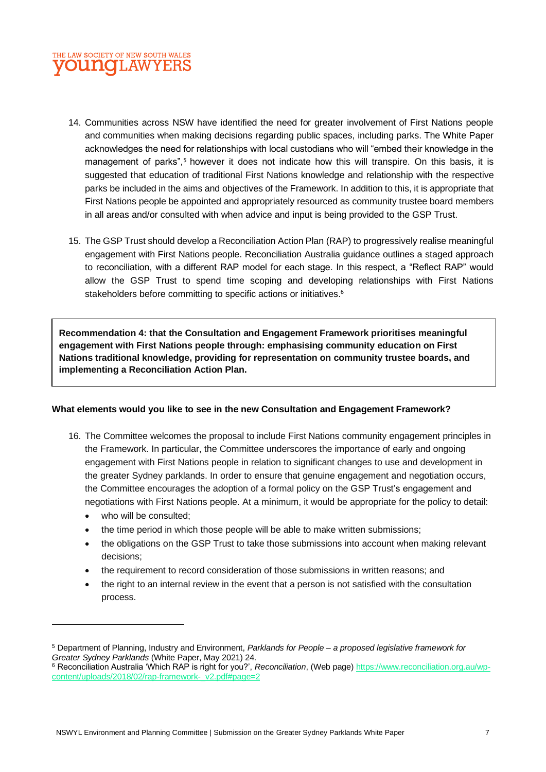

- 14. Communities across NSW have identified the need for greater involvement of First Nations people and communities when making decisions regarding public spaces, including parks. The White Paper acknowledges the need for relationships with local custodians who will "embed their knowledge in the management of parks",<sup>5</sup> however it does not indicate how this will transpire. On this basis, it is suggested that education of traditional First Nations knowledge and relationship with the respective parks be included in the aims and objectives of the Framework. In addition to this, it is appropriate that First Nations people be appointed and appropriately resourced as community trustee board members in all areas and/or consulted with when advice and input is being provided to the GSP Trust.
- 15. The GSP Trust should develop a Reconciliation Action Plan (RAP) to progressively realise meaningful engagement with First Nations people. Reconciliation Australia guidance outlines a staged approach to reconciliation, with a different RAP model for each stage. In this respect, a "Reflect RAP" would allow the GSP Trust to spend time scoping and developing relationships with First Nations stakeholders before committing to specific actions or initiatives.<sup>6</sup>

**Recommendation 4: that the Consultation and Engagement Framework prioritises meaningful engagement with First Nations people through: emphasising community education on First Nations traditional knowledge, providing for representation on community trustee boards, and implementing a Reconciliation Action Plan.**

#### **What elements would you like to see in the new Consultation and Engagement Framework?**

- 16. The Committee welcomes the proposal to include First Nations community engagement principles in the Framework. In particular, the Committee underscores the importance of early and ongoing engagement with First Nations people in relation to significant changes to use and development in the greater Sydney parklands. In order to ensure that genuine engagement and negotiation occurs, the Committee encourages the adoption of a formal policy on the GSP Trust's engagement and negotiations with First Nations people. At a minimum, it would be appropriate for the policy to detail:
	- who will be consulted;
	- the time period in which those people will be able to make written submissions;
	- the obligations on the GSP Trust to take those submissions into account when making relevant decisions;
	- the requirement to record consideration of those submissions in written reasons; and
	- the right to an internal review in the event that a person is not satisfied with the consultation process.

<sup>5</sup> Department of Planning, Industry and Environment, *Parklands for People – a proposed legislative framework for Greater Sydney Parklands* (White Paper, May 2021) 24.

<sup>6</sup> Reconciliation Australia 'Which RAP is right for you?', *Reconciliation*, (Web page) [https://www.reconciliation.org.au/wp](https://www.reconciliation.org.au/wp-content/uploads/2018/02/rap-framework-_v2.pdf#page=2)[content/uploads/2018/02/rap-framework-\\_v2.pdf#page=2](https://www.reconciliation.org.au/wp-content/uploads/2018/02/rap-framework-_v2.pdf#page=2)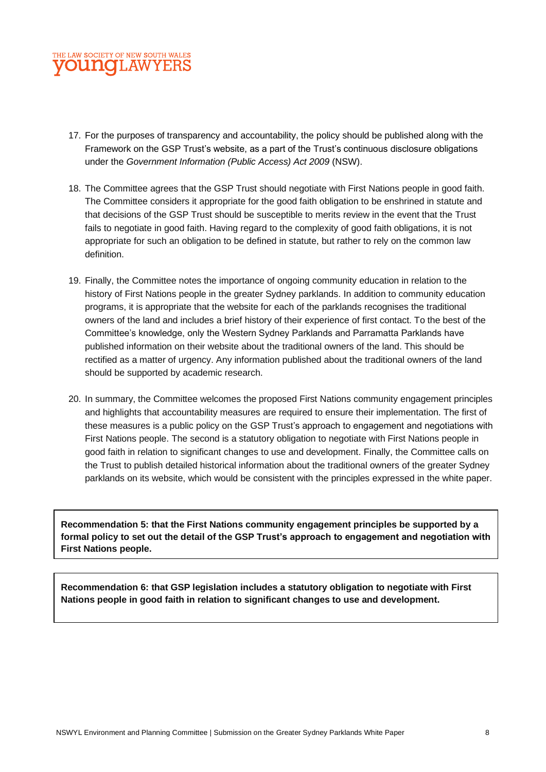#### THE LAW SOCIETY OF NEW SOUTH WALES **OUNCLAWYERS**

- 17. For the purposes of transparency and accountability, the policy should be published along with the Framework on the GSP Trust's website, as a part of the Trust's continuous disclosure obligations under the *Government Information (Public Access) Act 2009* (NSW).
- 18. The Committee agrees that the GSP Trust should negotiate with First Nations people in good faith. The Committee considers it appropriate for the good faith obligation to be enshrined in statute and that decisions of the GSP Trust should be susceptible to merits review in the event that the Trust fails to negotiate in good faith. Having regard to the complexity of good faith obligations, it is not appropriate for such an obligation to be defined in statute, but rather to rely on the common law definition.
- 19. Finally, the Committee notes the importance of ongoing community education in relation to the history of First Nations people in the greater Sydney parklands. In addition to community education programs, it is appropriate that the website for each of the parklands recognises the traditional owners of the land and includes a brief history of their experience of first contact. To the best of the Committee's knowledge, only the Western Sydney Parklands and Parramatta Parklands have published information on their website about the traditional owners of the land. This should be rectified as a matter of urgency. Any information published about the traditional owners of the land should be supported by academic research.
- 20. In summary, the Committee welcomes the proposed First Nations community engagement principles and highlights that accountability measures are required to ensure their implementation. The first of these measures is a public policy on the GSP Trust's approach to engagement and negotiations with First Nations people. The second is a statutory obligation to negotiate with First Nations people in good faith in relation to significant changes to use and development. Finally, the Committee calls on the Trust to publish detailed historical information about the traditional owners of the greater Sydney parklands on its website, which would be consistent with the principles expressed in the white paper.

**Recommendation 5: that the First Nations community engagement principles be supported by a formal policy to set out the detail of the GSP Trust's approach to engagement and negotiation with First Nations people.**

**Recommendation 6: that GSP legislation includes a statutory obligation to negotiate with First Nations people in good faith in relation to significant changes to use and development.**